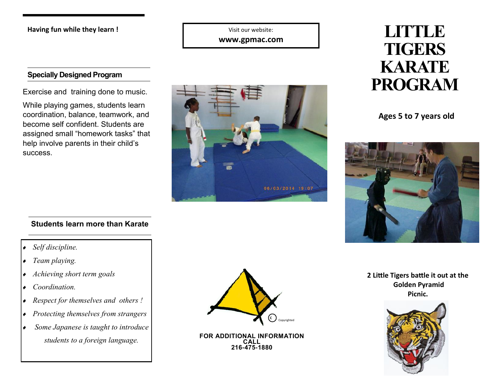## **Having fun while they learn !**

Visit our website:

**www.gpmac.com**

## **Specially Designed Program**

While playing games, students learn coordination, balance, teamwork, and become self confident. Students are assigned small "homework tasks" that help involve parents in their child's success.



# **LITTLE TIGERS KARATE**

**Ages 5 to 7 years old**



## **Students learn more than Karate**

## *Self discipline.*

- *Team playing.*
- *Achieving short term goals*
- *Coordination.*
- *Respect for themselves and others !*
- *Protecting themselves from strangers*
- *Some Japanese is taught to introduce students to a foreign language.* **FOR ADDITIONAL INFORMATION**



**CALL 216-475-1880** **2 Little Tigers battle it out at the Golden Pyramid Picnic.**